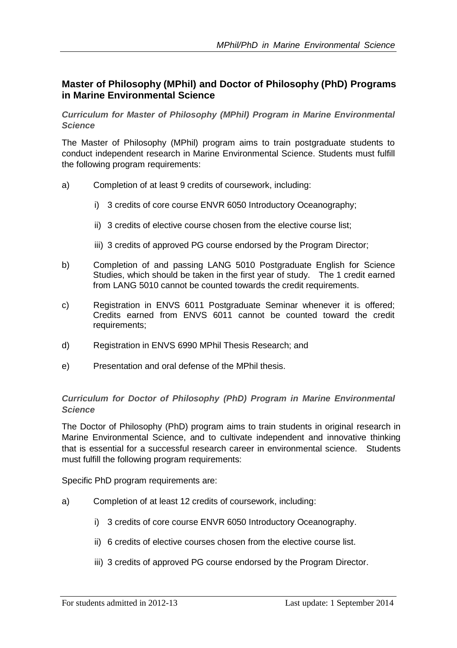## **Master of Philosophy (MPhil) and Doctor of Philosophy (PhD) Programs in Marine Environmental Science**

*Curriculum for Master of Philosophy (MPhil) Program in Marine Environmental Science*

The Master of Philosophy (MPhil) program aims to train postgraduate students to conduct independent research in Marine Environmental Science. Students must fulfill the following program requirements:

- a) Completion of at least 9 credits of coursework, including:
	- i) 3 credits of core course ENVR 6050 Introductory Oceanography;
	- ii) 3 credits of elective course chosen from the elective course list;
	- iii) 3 credits of approved PG course endorsed by the Program Director;
- b) Completion of and passing LANG 5010 Postgraduate English for Science Studies, which should be taken in the first year of study. The 1 credit earned from LANG 5010 cannot be counted towards the credit requirements.
- c) Registration in ENVS 6011 Postgraduate Seminar whenever it is offered; Credits earned from ENVS 6011 cannot be counted toward the credit requirements;
- d) Registration in ENVS 6990 MPhil Thesis Research; and
- e) Presentation and oral defense of the MPhil thesis.

## *Curriculum for Doctor of Philosophy (PhD) Program in Marine Environmental Science*

The Doctor of Philosophy (PhD) program aims to train students in original research in Marine Environmental Science, and to cultivate independent and innovative thinking that is essential for a successful research career in environmental science. Students must fulfill the following program requirements:

Specific PhD program requirements are:

- a) Completion of at least 12 credits of coursework, including:
	- i) 3 credits of core course ENVR 6050 Introductory Oceanography.
	- ii) 6 credits of elective courses chosen from the elective course list.
	- iii) 3 credits of approved PG course endorsed by the Program Director.